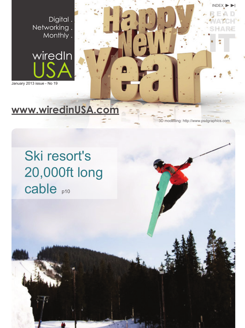Digital . Networking. Monthly .



January 2013 issue - No 19

# **[www.wiredinUSA.com](http://www.wiredinusa.com)**

3D modelling: http://www.psdgraphics.com

INDEX

READ WATCH SHARE

IT

## $\mathbf{r}$ iredo KI resol<br>ገ በበበ<del>f</del>f Ski resort's 20,000ft long cable <sub>p10</sub>